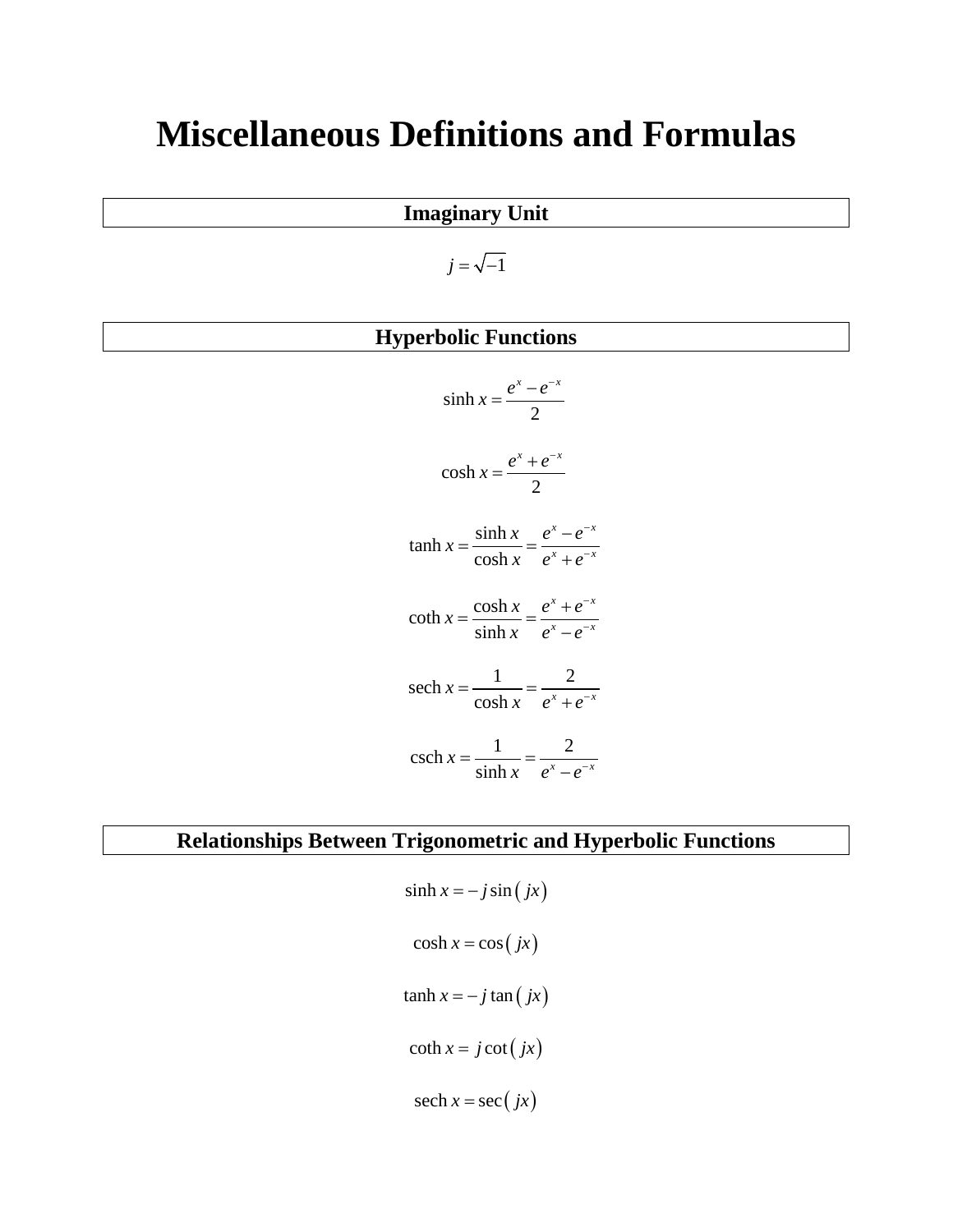# **Miscellaneous Definitions and Formulas**

## **Imaginary Unit**

 $j = \sqrt{-1}$ 

## **Hyperbolic Functions**

| $sinh x = \frac{e^{x} - e^{-x}}{2}$                                         |  |  |
|-----------------------------------------------------------------------------|--|--|
| $\cosh x = \frac{e^x + e^{-x}}{2}$                                          |  |  |
| $\tanh x = \frac{\sinh x}{\cosh x} = \frac{e^{x} - e^{-x}}{e^{x} + e^{-x}}$ |  |  |
| coth $x = \frac{\cosh x}{\sinh x} = \frac{e^{x} + e^{-x}}{e^{x} - e^{-x}}$  |  |  |
| sech $x = \frac{1}{\cosh x} = \frac{2}{e^x + e^{-x}}$                       |  |  |
| $\operatorname{csch} x = \frac{1}{\sinh x} = \frac{2}{e^x - e^{-x}}$        |  |  |

## **Relationships Between Trigonometric and Hyperbolic Functions**

 $\sinh x = -j \sin ( jx)$  $\cosh x = \cos ( jx)$  $\tanh x = -j \tan ( jx)$  $\coth x = j \cot ( jx)$  $sech x = sec ( jx )$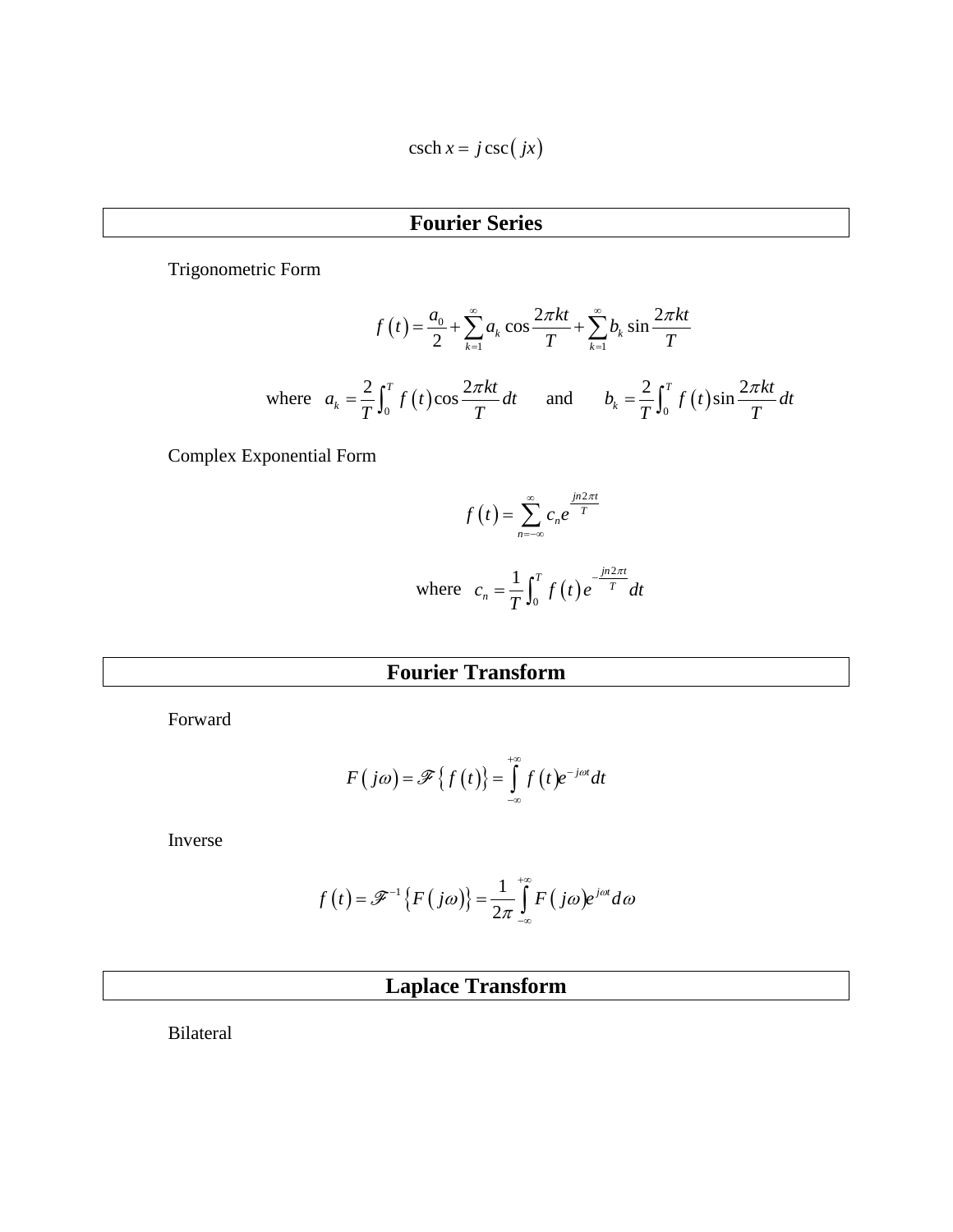$$
\operatorname{csch} x = j \operatorname{csc} (jx)
$$

## **Fourier Series**

Trigonometric Form

$$
f(t) = \frac{a_0}{2} + \sum_{k=1}^{\infty} a_k \cos \frac{2\pi kt}{T} + \sum_{k=1}^{\infty} b_k \sin \frac{2\pi kt}{T}
$$
  
where 
$$
a_k = \frac{2}{T} \int_0^T f(t) \cos \frac{2\pi kt}{T} dt \quad \text{and} \quad b_k = \frac{2}{T} \int_0^T f(t) \sin \frac{2\pi kt}{T} dt
$$

Complex Exponential Form

$$
f(t) = \sum_{n=-\infty}^{\infty} c_n e^{\frac{jn2\pi t}{T}}
$$
  
where  $c_n = \frac{1}{T} \int_0^T f(t) e^{\frac{-jn2\pi t}{T}} dt$ 

 $\boldsymbol{0}$ 

## **Fourier Transform**

Forward

$$
F(j\omega) = \mathscr{F}\left\{f(t)\right\} = \int_{-\infty}^{+\infty} f(t) e^{-j\omega t} dt
$$

Inverse

$$
f(t) = \mathscr{F}^{-1}\left\{F(j\omega)\right\} = \frac{1}{2\pi}\int_{-\infty}^{+\infty} F(j\omega)e^{j\omega t} d\omega
$$

## **Laplace Transform**

Bilateral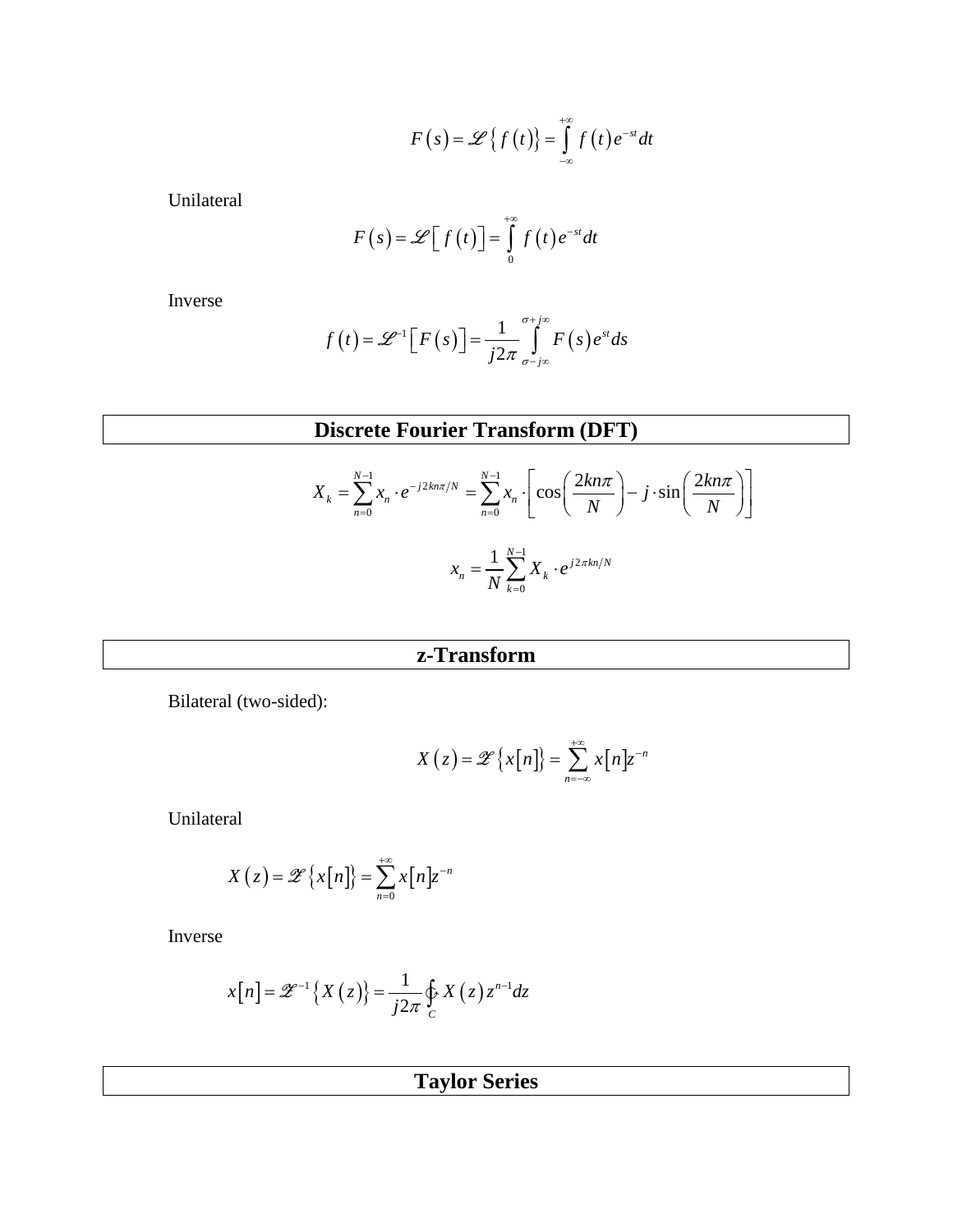$$
F(s) = \mathscr{L}\left\{f(t)\right\} = \int_{-\infty}^{+\infty} f(t) e^{-st} dt
$$

Unilateral

$$
F(s) = \mathscr{L}[f(t)] = \int_{0}^{+\infty} f(t) e^{-st} dt
$$

Inverse

$$
f(t) = \mathscr{L}^{-1}\Big[F(s)\Big] = \frac{1}{j2\pi} \int_{\sigma - j\infty}^{\sigma + j\infty} F(s) e^{st} ds
$$

## **Discrete Fourier Transform (DFT)**

$$
X_k = \sum_{n=0}^{N-1} x_n \cdot e^{-j2kn\pi/N} = \sum_{n=0}^{N-1} x_n \cdot \left[ \cos\left(\frac{2kn\pi}{N}\right) - j \cdot \sin\left(\frac{2kn\pi}{N}\right) \right]
$$

$$
x_n = \frac{1}{N} \sum_{k=0}^{N-1} X_k \cdot e^{j2\pi kn/N}
$$

## **z-Transform**

Bilateral (two-sided):

$$
X(z) = \mathscr{Z}\left\{x[n]\right\} = \sum_{n=-\infty}^{+\infty} x[n]z^{-n}
$$

Unilateral

$$
X(z) = \mathscr{Z}\left\{x[n]\right\} = \sum_{n=0}^{+\infty} x[n]z^{-n}
$$

Inverse

$$
x[n] = \mathscr{Z}^{-1}\left\{X\left(z\right)\right\} = \frac{1}{j2\pi} \oint_C X\left(z\right) z^{n-1} dz
$$

**Taylor Series**